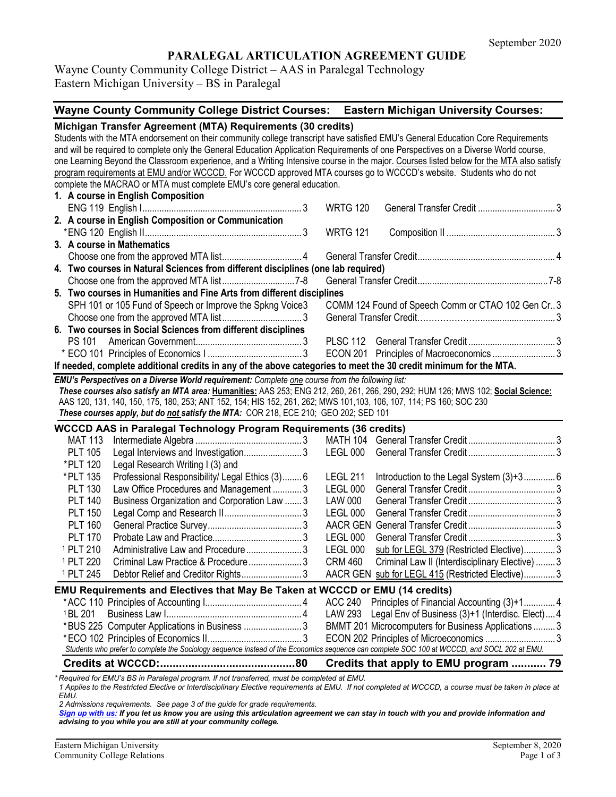### **PARALEGAL ARTICULATION AGREEMENT GUIDE**

Wayne County Community College District – AAS in Paralegal Technology Eastern Michigan University – BS in Paralegal

# **Wayne County Community College District Courses: Eastern Michigan University Courses:**

| Students with the MTA endorsement on their community college transcript have satisfied EMU's General Education Core Requirements<br>and will be required to complete only the General Education Application Requirements of one Perspectives on a Diverse World course,<br>one Learning Beyond the Classroom experience, and a Writing Intensive course in the major. Courses listed below for the MTA also satisfy |  |
|---------------------------------------------------------------------------------------------------------------------------------------------------------------------------------------------------------------------------------------------------------------------------------------------------------------------------------------------------------------------------------------------------------------------|--|
|                                                                                                                                                                                                                                                                                                                                                                                                                     |  |
|                                                                                                                                                                                                                                                                                                                                                                                                                     |  |
|                                                                                                                                                                                                                                                                                                                                                                                                                     |  |
| program requirements at EMU and/or WCCCD. For WCCCD approved MTA courses go to WCCCD's website. Students who do not                                                                                                                                                                                                                                                                                                 |  |
| complete the MACRAO or MTA must complete EMU's core general education.<br>1. A course in English Composition                                                                                                                                                                                                                                                                                                        |  |
| <b>WRTG 120</b>                                                                                                                                                                                                                                                                                                                                                                                                     |  |
| 2. A course in English Composition or Communication                                                                                                                                                                                                                                                                                                                                                                 |  |
| <b>WRTG 121</b>                                                                                                                                                                                                                                                                                                                                                                                                     |  |
| 3. A course in Mathematics                                                                                                                                                                                                                                                                                                                                                                                          |  |
|                                                                                                                                                                                                                                                                                                                                                                                                                     |  |
| 4. Two courses in Natural Sciences from different disciplines (one lab required)                                                                                                                                                                                                                                                                                                                                    |  |
|                                                                                                                                                                                                                                                                                                                                                                                                                     |  |
| 5. Two courses in Humanities and Fine Arts from different disciplines                                                                                                                                                                                                                                                                                                                                               |  |
| COMM 124 Found of Speech Comm or CTAO 102 Gen Cr3<br>SPH 101 or 105 Fund of Speech or Improve the Spkng Voice3                                                                                                                                                                                                                                                                                                      |  |
|                                                                                                                                                                                                                                                                                                                                                                                                                     |  |
| 6. Two courses in Social Sciences from different disciplines                                                                                                                                                                                                                                                                                                                                                        |  |
| <b>PS 101</b>                                                                                                                                                                                                                                                                                                                                                                                                       |  |
| ECON 201 Principles of Macroeconomics 3                                                                                                                                                                                                                                                                                                                                                                             |  |
| If needed, complete additional credits in any of the above categories to meet the 30 credit minimum for the MTA.                                                                                                                                                                                                                                                                                                    |  |
| EMU's Perspectives on a Diverse World requirement: Complete one course from the following list:                                                                                                                                                                                                                                                                                                                     |  |
| These courses also satisfy an MTA area: Humanities: AAS 253; ENG 212, 260, 261, 266, 290, 292; HUM 126; MWS 102; Social Science:                                                                                                                                                                                                                                                                                    |  |
| AAS 120, 131, 140, 150, 175, 180, 253; ANT 152, 154; HIS 152, 261, 262; MWS 101, 103, 106, 107, 114; PS 160; SOC 230                                                                                                                                                                                                                                                                                                |  |
| These courses apply, but do not satisfy the MTA: COR 218, ECE 210; GEO 202; SED 101                                                                                                                                                                                                                                                                                                                                 |  |
| <b>WCCCD AAS in Paralegal Technology Program Requirements (36 credits)</b>                                                                                                                                                                                                                                                                                                                                          |  |
| <b>MAT 113</b>                                                                                                                                                                                                                                                                                                                                                                                                      |  |
| Legal Interviews and Investigation3<br><b>PLT 105</b>                                                                                                                                                                                                                                                                                                                                                               |  |
| *PLT 120<br>Legal Research Writing I (3) and                                                                                                                                                                                                                                                                                                                                                                        |  |
| Introduction to the Legal System (3)+3 6<br>*PLT 135<br>Professional Responsibility/ Legal Ethics (3) 6<br><b>LEGL 211</b>                                                                                                                                                                                                                                                                                          |  |
| Law Office Procedures and Management 3<br><b>PLT 130</b><br><b>LEGL 000</b>                                                                                                                                                                                                                                                                                                                                         |  |
| Business Organization and Corporation Law  3<br><b>PLT 140</b><br><b>LAW 000</b>                                                                                                                                                                                                                                                                                                                                    |  |
| <b>PLT 150</b><br><b>LEGL 000</b>                                                                                                                                                                                                                                                                                                                                                                                   |  |
| <b>PLT 160</b>                                                                                                                                                                                                                                                                                                                                                                                                      |  |
| <b>PLT 170</b><br><b>LEGL 000</b>                                                                                                                                                                                                                                                                                                                                                                                   |  |
| Administrative Law and Procedure3<br><b>LEGL 000</b><br>sub for LEGL 379 (Restricted Elective) 3<br><sup>1</sup> PLT 210                                                                                                                                                                                                                                                                                            |  |
| Criminal Law Practice & Procedure3<br><sup>1</sup> PLT 220<br><b>CRM 460</b><br>Criminal Law II (Interdisciplinary Elective)  3                                                                                                                                                                                                                                                                                     |  |
| <sup>1</sup> PLT 245<br>Debtor Relief and Creditor Rights 3<br>AACR GEN sub for LEGL 415 (Restricted Elective) 3                                                                                                                                                                                                                                                                                                    |  |
| EMU Requirements and Electives that May Be Taken at WCCCD or EMU (14 credits)                                                                                                                                                                                                                                                                                                                                       |  |
| Principles of Financial Accounting (3)+1 4<br><b>ACC 240</b>                                                                                                                                                                                                                                                                                                                                                        |  |
| <sup>1</sup> BL 201<br>LAW 293<br>Legal Env of Business (3)+1 (Interdisc. Elect) 4                                                                                                                                                                                                                                                                                                                                  |  |
| *BUS 225 Computer Applications in Business  3<br>BMMT 201 Microcomputers for Business Applications  3                                                                                                                                                                                                                                                                                                               |  |
| ECON 202 Principles of Microeconomics  3                                                                                                                                                                                                                                                                                                                                                                            |  |
| Students who prefer to complete the Sociology sequence instead of the Economics sequence can complete SOC 100 at WCCCD, and SOCL 202 at EMU.                                                                                                                                                                                                                                                                        |  |
| Credits that apply to EMU program  79                                                                                                                                                                                                                                                                                                                                                                               |  |

*\* Required for EMU's BS in Paralegal program. If not transferred, must be completed at EMU.* 

*1 Applies to the Restricted Elective or Interdisciplinary Elective requirements at EMU. If not completed at WCCCD, a course must be taken in place at EMU.*

*2 Admissions requirements. See page 3 of the guide for grade requirements.*

*[Sign up with us:](https://www.emich.edu/ccr/articulation-agreements/signup.php) If you let us know you are using this articulation agreement we can stay in touch with you and provide information and advising to you while you are still at your community college.*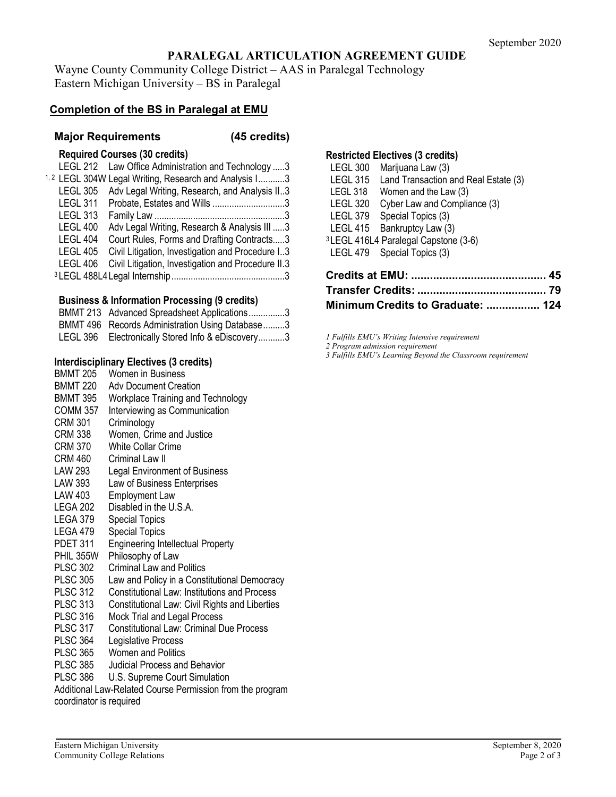# **PARALEGAL ARTICULATION AGREEMENT GUIDE**

Wayne County Community College District – AAS in Paralegal Technology Eastern Michigan University – BS in Paralegal

### **Completion of the BS in Paralegal at EMU**

#### **Major Requirements (45 credits)**

### **Required Courses (30 credits)**

|                 | LEGL 212 Law Office Administration and Technology 3              |  |
|-----------------|------------------------------------------------------------------|--|
|                 | <sup>1,2</sup> LEGL 304W Legal Writing, Research and Analysis I3 |  |
| <b>LEGL 305</b> | Adv Legal Writing, Research, and Analysis II3                    |  |
| <b>LEGL 311</b> | Probate, Estates and Wills 3                                     |  |
| <b>LEGL 313</b> |                                                                  |  |
| <b>LEGL 400</b> | Adv Legal Writing, Research & Analysis III 3                     |  |
| <b>LEGL 404</b> | Court Rules, Forms and Drafting Contracts3                       |  |
| <b>LEGL 405</b> | Civil Litigation, Investigation and Procedure I3                 |  |
| <b>LEGL 406</b> | Civil Litigation, Investigation and Procedure II.3               |  |
|                 |                                                                  |  |
|                 |                                                                  |  |

#### **Business & Information Processing (9 credits)**

| BMMT 213 Advanced Spreadsheet Applications3       |
|---------------------------------------------------|
| BMMT 496 Records Administration Using Database3   |
| LEGL 396 Electronically Stored Info & eDiscovery3 |

# **Interdisciplinary Electives (3 credits)**

| <b>BMMT 205</b>         | Women in Business                                         |  |  |
|-------------------------|-----------------------------------------------------------|--|--|
| <b>BMMT 220</b>         | <b>Adv Document Creation</b>                              |  |  |
| <b>BMMT 395</b>         | <b>Workplace Training and Technology</b>                  |  |  |
| <b>COMM 357</b>         | Interviewing as Communication                             |  |  |
| <b>CRM 301</b>          | Criminology                                               |  |  |
| CRM 338                 | Women, Crime and Justice                                  |  |  |
| <b>CRM 370</b>          | <b>White Collar Crime</b>                                 |  |  |
| <b>CRM 460</b>          | Criminal Law II                                           |  |  |
| LAW 293                 | Legal Environment of Business                             |  |  |
| LAW 393                 | Law of Business Enterprises                               |  |  |
| LAW 403                 | <b>Employment Law</b>                                     |  |  |
| LEGA 202                | Disabled in the U.S.A.                                    |  |  |
| LEGA 379                | <b>Special Topics</b>                                     |  |  |
| LEGA 479                | <b>Special Topics</b>                                     |  |  |
| <b>PDET 311</b>         | <b>Engineering Intellectual Property</b>                  |  |  |
| PHIL 355W               | Philosophy of Law                                         |  |  |
| <b>PLSC 302</b>         | <b>Criminal Law and Politics</b>                          |  |  |
| <b>PLSC 305</b>         | Law and Policy in a Constitutional Democracy              |  |  |
| <b>PLSC 312</b>         | <b>Constitutional Law: Institutions and Process</b>       |  |  |
| <b>PLSC 313</b>         | Constitutional Law: Civil Rights and Liberties            |  |  |
| <b>PLSC 316</b>         | Mock Trial and Legal Process                              |  |  |
| <b>PLSC 317</b>         | <b>Constitutional Law: Criminal Due Process</b>           |  |  |
| <b>PLSC 364</b>         | Legislative Process                                       |  |  |
| <b>PLSC 365</b>         | <b>Women and Politics</b>                                 |  |  |
| <b>PLSC 385</b>         | Judicial Process and Behavior                             |  |  |
| <b>PLSC 386</b>         | U.S. Supreme Court Simulation                             |  |  |
|                         | Additional Law-Related Course Permission from the program |  |  |
| coordinator is required |                                                           |  |  |

### **Restricted Electives (3 credits)**

| <b>LEGL 300</b> | Marijuana Law (3)                                |
|-----------------|--------------------------------------------------|
| <b>LEGL 315</b> | Land Transaction and Real Estate (3)             |
| LEGL 318        | Women and the Law (3)                            |
| <b>LEGL 320</b> | Cyber Law and Compliance (3)                     |
| LEGL 379        | Special Topics (3)                               |
| LEGL 415        | Bankruptcy Law (3)                               |
|                 | <sup>3</sup> LEGL 416L4 Paralegal Capstone (3-6) |
|                 | LEGL 479 Special Topics (3)                      |
|                 |                                                  |
|                 |                                                  |

| Minimum Credits to Graduate:  124 |  |
|-----------------------------------|--|

*1 Fulfills EMU's Writing Intensive requirement*

*2 Program admission requirement*

*3 Fulfills EMU's Learning Beyond the Classroom requirement*